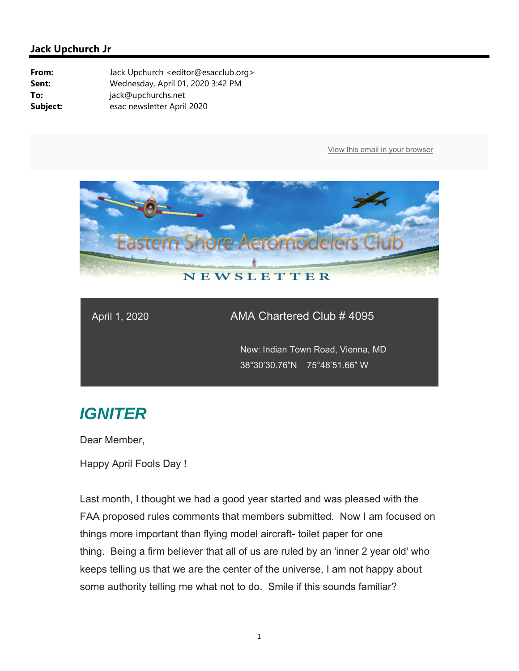

### April 1, 2020 AMA Chartered Club # 4095

 New: Indian Town Road, Vienna, MD 38°30'30.76"N 75°48'51.66" W

# *IGNITER*

Dear Member,

Happy April Fools Day !

Last month, I thought we had a good year started and was pleased with the FAA proposed rules comments that members submitted. Now I am focused on things more important than flying model aircraft- toilet paper for one thing. Being a firm believer that all of us are ruled by an 'inner 2 year old' who keeps telling us that we are the center of the universe, I am not happy about some authority telling me what not to do. Smile if this sounds familiar?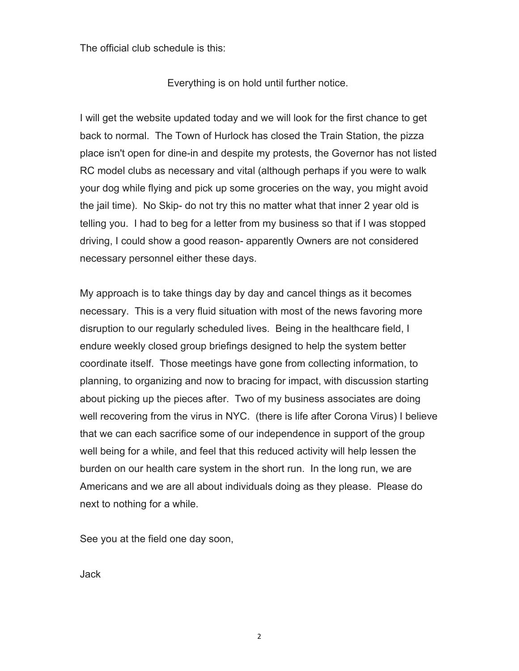The official club schedule is this:

Everything is on hold until further notice.

I will get the website updated today and we will look for the first chance to get back to normal. The Town of Hurlock has closed the Train Station, the pizza place isn't open for dine-in and despite my protests, the Governor has not listed RC model clubs as necessary and vital (although perhaps if you were to walk your dog while flying and pick up some groceries on the way, you might avoid the jail time). No Skip- do not try this no matter what that inner 2 year old is telling you. I had to beg for a letter from my business so that if I was stopped driving, I could show a good reason- apparently Owners are not considered necessary personnel either these days.

My approach is to take things day by day and cancel things as it becomes necessary. This is a very fluid situation with most of the news favoring more disruption to our regularly scheduled lives. Being in the healthcare field, I endure weekly closed group briefings designed to help the system better coordinate itself. Those meetings have gone from collecting information, to planning, to organizing and now to bracing for impact, with discussion starting about picking up the pieces after. Two of my business associates are doing well recovering from the virus in NYC. (there is life after Corona Virus) I believe that we can each sacrifice some of our independence in support of the group well being for a while, and feel that this reduced activity will help lessen the burden on our health care system in the short run. In the long run, we are Americans and we are all about individuals doing as they please. Please do next to nothing for a while.

See you at the field one day soon,

Jack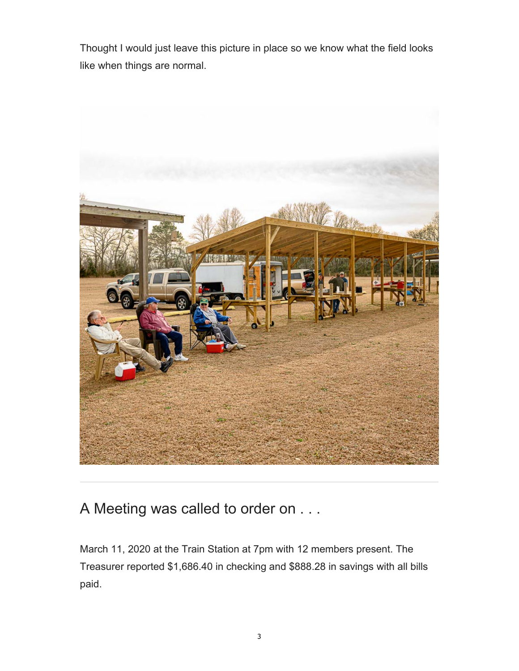Thought I would just leave this picture in place so we know what the field looks like when things are normal.



A Meeting was called to order on . . .

March 11, 2020 at the Train Station at 7pm with 12 members present. The Treasurer reported \$1,686.40 in checking and \$888.28 in savings with all bills paid.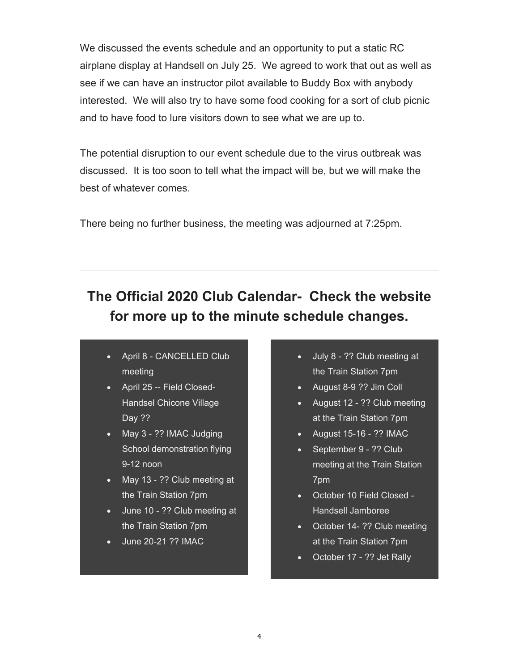We discussed the events schedule and an opportunity to put a static RC airplane display at Handsell on July 25. We agreed to work that out as well as see if we can have an instructor pilot available to Buddy Box with anybody interested. We will also try to have some food cooking for a sort of club picnic and to have food to lure visitors down to see what we are up to.

The potential disruption to our event schedule due to the virus outbreak was discussed. It is too soon to tell what the impact will be, but we will make the best of whatever comes.

There being no further business, the meeting was adjourned at 7:25pm.

## **The Official 2020 Club Calendar- Check the website for more up to the minute schedule changes.**

- April 8 CANCELLED Club meeting
- April 25 -- Field Closed-Handsel Chicone Village Day ??
- May 3 ?? IMAC Judging School demonstration flying 9-12 noon
- May 13 ?? Club meeting at the Train Station 7pm
- June 10 ?? Club meeting at the Train Station 7pm
- June 20-21 ?? IMAC
- July 8 ?? Club meeting at the Train Station 7pm
- August 8-9 ?? Jim Coll
- August 12 ?? Club meeting at the Train Station 7pm
- August 15-16 ?? IMAC
- September 9 ?? Club meeting at the Train Station 7pm
- October 10 Field Closed Handsell Jamboree
- October 14- ?? Club meeting at the Train Station 7pm
- October 17 ?? Jet Rally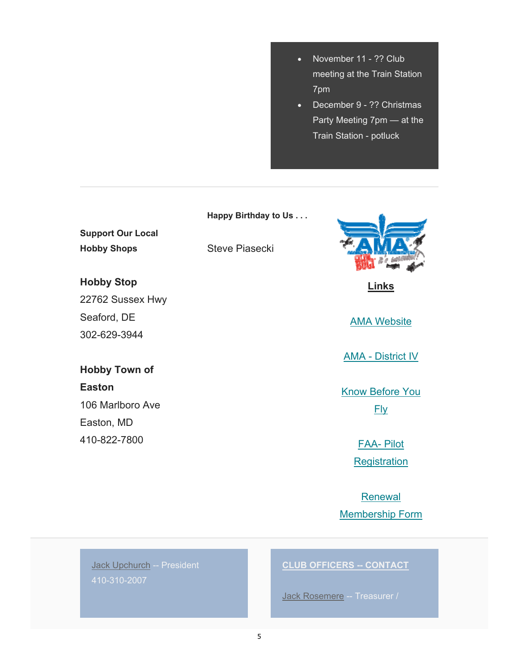- November 11 ?? Club meeting at the Train Station 7pm
- December 9 ?? Christmas Party Meeting 7pm — at the Train Station - potluck

## **Support Our Local Hobby Shops Hobby Stop** 22762 Sussex Hwy Seaford, DE **Happy Birthday to Us . . .** Steve Piasecki

302-629-3944

### **Hobby Town of**

**Easton** 106 Marlboro Ave Easton, MD 410-822-7800



**Links** 

AMA Website

AMA - District IV

Know Before You Fly

> FAA- Pilot **Registration**

Renewal Membership Form

Jack Upchurch -- President 410-310-2007

#### **CLUB OFFICERS -- CONTACT**

Jack Rosemere -- Treasurer /